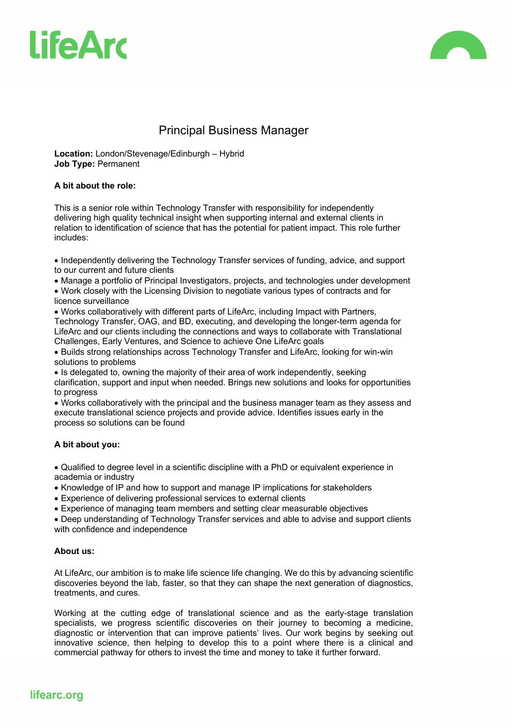



# Principal Business Manager

**Location:** London/Stevenage/Edinburgh – Hybrid **Job Type:** Permanent

#### **A bit about the role:**

This is a senior role within Technology Transfer with responsibility for independently delivering high quality technical insight when supporting internal and external clients in relation to identification of science that has the potential for patient impact. This role further includes:

• Independently delivering the Technology Transfer services of funding, advice, and support to our current and future clients

• Manage a portfolio of Principal Investigators, projects, and technologies under development

• Work closely with the Licensing Division to negotiate various types of contracts and for licence surveillance

• Works collaboratively with different parts of LifeArc, including Impact with Partners, Technology Transfer, OAG, and BD, executing, and developing the longer-term agenda for LifeArc and our clients including the connections and ways to collaborate with Translational Challenges, Early Ventures, and Science to achieve One LifeArc goals

• Builds strong relationships across Technology Transfer and LifeArc, looking for win-win solutions to problems

• Is delegated to, owning the majority of their area of work independently, seeking clarification, support and input when needed. Brings new solutions and looks for opportunities to progress

• Works collaboratively with the principal and the business manager team as they assess and execute translational science projects and provide advice. Identifies issues early in the process so solutions can be found

#### **A bit about you:**

• Qualified to degree level in a scientific discipline with a PhD or equivalent experience in academia or industry

• Knowledge of IP and how to support and manage IP implications for stakeholders

• Experience of delivering professional services to external clients

• Experience of managing team members and setting clear measurable objectives

• Deep understanding of Technology Transfer services and able to advise and support clients with confidence and independence

#### **About us:**

At LifeArc, our ambition is to make life science life changing. We do this by advancing scientific discoveries beyond the lab, faster, so that they can shape the next generation of diagnostics, treatments, and cures.

Working at the cutting edge of translational science and as the early-stage translation specialists, we progress scientific discoveries on their journey to becoming a medicine, diagnostic or intervention that can improve patients' lives. Our work begins by seeking out innovative science, then helping to develop this to a point where there is a clinical and commercial pathway for others to invest the time and money to take it further forward.

## lifearc.org